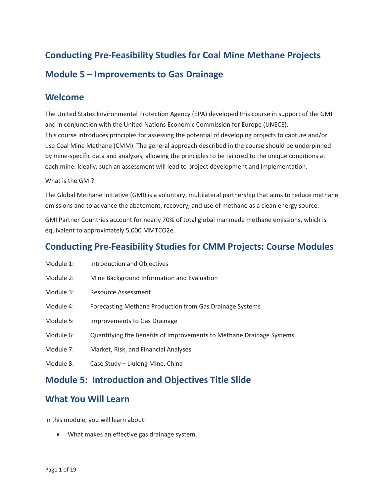# **Conducting Pre-Feasibility Studies for Coal Mine Methane Projects Module 5 – Improvements to Gas Drainage**

### **Welcome**

 The United States Environmental Protection Agency (EPA) developed this course in support of the GMI and in conjunction with the United Nations Economic Commission for Europe (UNECE). This course introduces principles for assessing the potential of developing projects to capture and/or use Coal Mine Methane (CMM). The general approach described in the course should be underpinned by mine-specific data and analyses, allowing the principles to be tailored to the unique conditions at each mine. Ideally, such an assessment will lead to project development and implementation.

### What is the GMI?

 The Global Methane Initiative (GMI) is a voluntary, multilateral partnership that aims to reduce methane emissions and to advance the abatement, recovery, and use of methane as a clean energy source.

GMI Partner Countries account for nearly 70% of total global manmade methane emissions, which is equivalent to approximately 5,000 MMTCO2e.

## **Conducting Pre-Feasibility Studies for CMM Projects: Course Modules**

- Module 1: Introduction and Objectives
- Module 2: Mine Background Information and Evaluation
- Module 3: Resource Assessment
- Module 4: Forecasting Methane Production from Gas Drainage Systems
- Module 5: Improvements to Gas Drainage
- Module 6: Quantifying the Benefits of Improvements to Methane Drainage Systems
- Module 7: Market, Risk, and Financial Analyses
- Module 8: Case Study Liulong Mine, China

### **Module 5: Introduction and Objectives Title Slide**

### **What You Will Learn**

In this module, you will learn about:

• What makes an effective gas drainage system.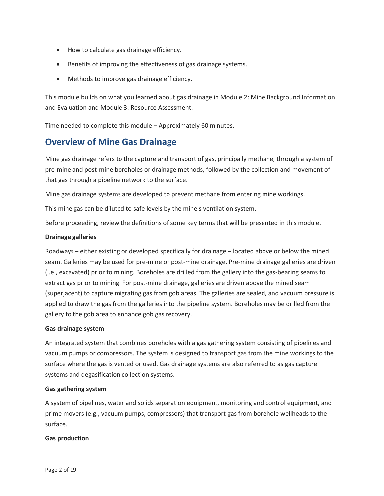- How to calculate gas drainage efficiency.
- Benefits of improving the effectiveness of gas drainage systems.
- Methods to improve gas drainage efficiency.

 This module builds on what you learned about gas drainage in Module 2: Mine Background Information and Evaluation and Module 3: Resource Assessment.

Time needed to complete this module – Approximately 60 minutes.

# **Overview of Mine Gas Drainage**

 Mine gas drainage refers to the capture and transport of gas, principally methane, through a system of that gas through a pipeline network to the surface. pre-mine and post-mine boreholes or drainage methods, followed by the collection and movement of

Mine gas drainage systems are developed to prevent methane from entering mine workings.

This mine gas can be diluted to safe levels by the mine's ventilation system.

Before proceeding, review the definitions of some key terms that will be presented in this module.

### **Drainage galleries**

 applied to draw the gas from the galleries into the pipeline system. Boreholes may be drilled from the Roadways – either existing or developed specifically for drainage – located above or below the mined seam. Galleries may be used for pre-mine or post-mine drainage. Pre-mine drainage galleries are driven (i.e., excavated) prior to mining. Boreholes are drilled from the gallery into the gas-bearing seams to extract gas prior to mining. For post-mine drainage, galleries are driven above the mined seam (superjacent) to capture migrating gas from gob areas. The galleries are sealed, and vacuum pressure is gallery to the gob area to enhance gob gas recovery.

### **Gas drainage system**

 vacuum pumps or compressors. The system is designed to transport gas from the mine workings to the surface where the gas is vented or used. Gas drainage systems are also referred to as gas capture systems and degasification collection systems. An integrated system that combines boreholes with a gas gathering system consisting of pipelines and

### **Gas gathering system**

 prime movers (e.g., vacuum pumps, compressors) that transport gas from borehole wellheads to the A system of pipelines, water and solids separation equipment, monitoring and control equipment, and surface.

### **Gas production**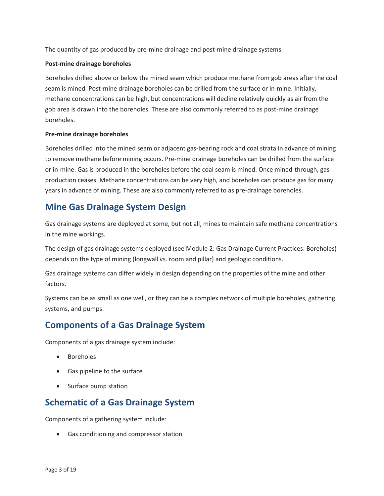The quantity of gas produced by pre-mine drainage and post-mine drainage systems.

### **Post-mine drainage boreholes**

 Boreholes drilled above or below the mined seam which produce methane from gob areas after the coal gob area is drawn into the boreholes. These are also commonly referred to as post-mine drainage seam is mined. Post-mine drainage boreholes can be drilled from the surface or in-mine. Initially, methane concentrations can be high, but concentrations will decline relatively quickly as air from the boreholes.

### **Pre-mine drainage boreholes**

 Boreholes drilled into the mined seam or adjacent gas-bearing rock and coal strata in advance of mining to remove methane before mining occurs. Pre-mine drainage boreholes can be drilled from the surface production ceases. Methane concentrations can be very high, and boreholes can produce gas for many or in-mine. Gas is produced in the boreholes before the coal seam is mined. Once mined-through, gas years in advance of mining. These are also commonly referred to as pre-drainage boreholes.

## **Mine Gas Drainage System Design**

Gas drainage systems are deployed at some, but not all, mines to maintain safe methane concentrations in the mine workings.

 depends on the type of mining (longwall vs. room and pillar) and geologic conditions. The design of gas drainage systems deployed (see Module 2: Gas Drainage Current Practices: Boreholes)

 Gas drainage systems can differ widely in design depending on the properties of the mine and other factors.

 Systems can be as small as one well, or they can be a complex network of multiple boreholes, gathering systems, and pumps.

# **Components of a Gas Drainage System**

Components of a gas drainage system include:

- Boreholes
- Gas pipeline to the surface
- Surface pump station

### **Schematic of a Gas Drainage System**

Components of a gathering system include:

• Gas conditioning and compressor station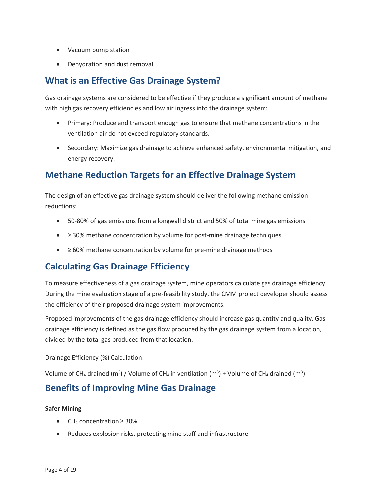- Vacuum pump station
- Dehydration and dust removal

# **What is an Effective Gas Drainage System?**

Gas drainage systems are considered to be effective if they produce a significant amount of methane with high gas recovery efficiencies and low air ingress into the drainage system:

- • Primary: Produce and transport enough gas to ensure that methane concentrations in the ventilation air do not exceed regulatory standards.
- Secondary: Maximize gas drainage to achieve enhanced safety, environmental mitigation, and energy recovery.

# **Methane Reduction Targets for an Effective Drainage System**

 The design of an effective gas drainage system should deliver the following methane emission reductions:

- 50-80% of gas emissions from a longwall district and 50% of total mine gas emissions
- ≥ 30% methane concentration by volume for post-mine drainage techniques
- ≥ 60% methane concentration by volume for pre-mine drainage methods

# **Calculating Gas Drainage Efficiency**

 To measure effectiveness of a gas drainage system, mine operators calculate gas drainage efficiency. During the mine evaluation stage of a pre-feasibility study, the CMM project developer should assess the efficiency of their proposed drainage system improvements.

Proposed improvements of the gas drainage efficiency should increase gas quantity and quality. Gas drainage efficiency is defined as the gas flow produced by the gas drainage system from a location, divided by the total gas produced from that location.

Drainage Efficiency (%) Calculation:

Volume of CH<sub>4</sub> drained (m<sup>3</sup>) / Volume of CH<sub>4</sub> in ventilation (m<sup>3</sup>) + Volume of CH<sub>4</sub> drained (m<sup>3</sup>)

### **Benefits of Improving Mine Gas Drainage**

### **Safer Mining**

- CH4 concentration ≥ 30%
- Reduces explosion risks, protecting mine staff and infrastructure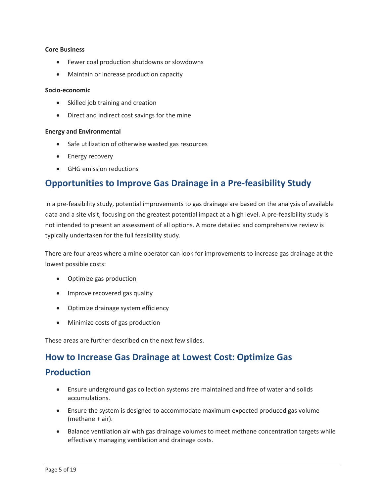#### **Core Business**

- Fewer coal production shutdowns or slowdowns
- Maintain or increase production capacity

#### **Socio-economic**

- Skilled job training and creation
- Direct and indirect cost savings for the mine

### **Energy and Environmental**

- Safe utilization of otherwise wasted gas resources
- Energy recovery
- GHG emission reductions

### **Opportunities to Improve Gas Drainage in a Pre-feasibility Study**

In a pre-feasibility study, potential improvements to gas drainage are based on the analysis of available data and a site visit, focusing on the greatest potential impact at a high level. A pre-feasibility study is not intended to present an assessment of all options. A more detailed and comprehensive review is typically undertaken for the full feasibility study.

There are four areas where a mine operator can look for improvements to increase gas drainage at the lowest possible costs:

- Optimize gas production
- Improve recovered gas quality
- Optimize drainage system efficiency
- Minimize costs of gas production

These areas are further described on the next few slides.

### **How to Increase Gas Drainage at Lowest Cost: Optimize Gas**

### **Production**

- • Ensure underground gas collection systems are maintained and free of water and solids accumulations.
- Ensure the system is designed to accommodate maximum expected produced gas volume (methane + air).
- Balance ventilation air with gas drainage volumes to meet methane concentration targets while effectively managing ventilation and drainage costs.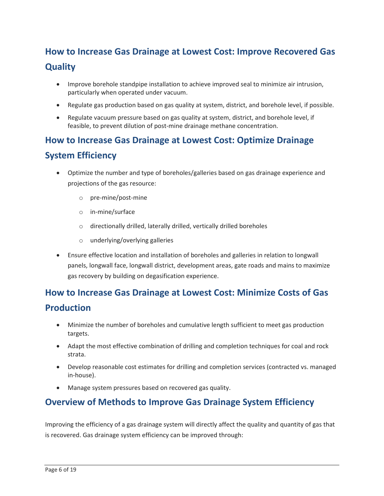# **How to Increase Gas Drainage at Lowest Cost: Improve Recovered Gas Quality**

- Improve borehole standpipe installation to achieve improved seal to minimize air intrusion, particularly when operated under vacuum.
- Regulate gas production based on gas quality at system, district, and borehole level, if possible.
- Regulate vacuum pressure based on gas quality at system, district, and borehole level, if feasible, to prevent dilution of post-mine drainage methane concentration.

# **How to Increase Gas Drainage at Lowest Cost: Optimize Drainage System Efficiency**

- • Optimize the number and type of boreholes/galleries based on gas drainage experience and projections of the gas resource:
	- o pre-mine/post-mine
	- o in-mine/surface
	- o directionally drilled, laterally drilled, vertically drilled boreholes
	- o underlying/overlying galleries
- gas recovery by building on degasification experience. • Ensure effective location and installation of boreholes and galleries in relation to longwall panels, longwall face, longwall district, development areas, gate roads and mains to maximize

### **How to Increase Gas Drainage at Lowest Cost: Minimize Costs of Gas**

### **Production**

- • Minimize the number of boreholes and cumulative length sufficient to meet gas production targets.
- • Adapt the most effective combination of drilling and completion techniques for coal and rock strata.
- Develop reasonable cost estimates for drilling and completion services (contracted vs. managed in-house).
- Manage system pressures based on recovered gas quality.

## **Overview of Methods to Improve Gas Drainage System Efficiency**

 Improving the efficiency of a gas drainage system will directly affect the quality and quantity of gas that is recovered. Gas drainage system efficiency can be improved through: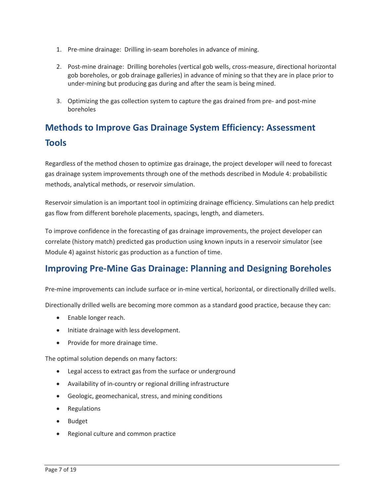- 1. Pre-mine drainage: Drilling in-seam boreholes in advance of mining.
- 2. Post-mine drainage: Drilling boreholes (vertical gob wells, cross-measure, directional horizontal gob boreholes, or gob drainage galleries) in advance of mining so that they are in place prior to under-mining but producing gas during and after the seam is being mined.
- 3. Optimizing the gas collection system to capture the gas drained from pre- and post-mine boreholes

# **Methods to Improve Gas Drainage System Efficiency: Assessment Tools**

 Regardless of the method chosen to optimize gas drainage, the project developer will need to forecast gas drainage system improvements through one of the methods described in Module 4: probabilistic methods, analytical methods, or reservoir simulation.

Reservoir simulation is an important tool in optimizing drainage efficiency. Simulations can help predict gas flow from different borehole placements, spacings, length, and diameters.

 correlate (history match) predicted gas production using known inputs in a reservoir simulator (see To improve confidence in the forecasting of gas drainage improvements, the project developer can Module 4) against historic gas production as a function of time.

### **Improving Pre-Mine Gas Drainage: Planning and Designing Boreholes**

Pre-mine improvements can include surface or in-mine vertical, horizontal, or directionally drilled wells.

Directionally drilled wells are becoming more common as a standard good practice, because they can:

- Enable longer reach.
- Initiate drainage with less development.
- Provide for more drainage time.

The optimal solution depends on many factors:

- Legal access to extract gas from the surface or underground
- Availability of in-country or regional drilling infrastructure
- Geologic, geomechanical, stress, and mining conditions
- Regulations
- Budget
- Regional culture and common practice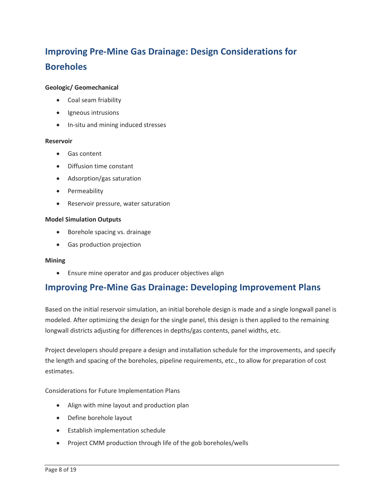# **Improving Pre-Mine Gas Drainage: Design Considerations for Boreholes**

### **Geologic/ Geomechanical**

- Coal seam friability
- Igneous intrusions
- In-situ and mining induced stresses

### **Reservoir**

- Gas content
- Diffusion time constant
- Adsorption/gas saturation
- Permeability
- Reservoir pressure, water saturation

#### **Model Simulation Outputs**

- Borehole spacing vs. drainage
- Gas production projection

### **Mining**

• Ensure mine operator and gas producer objectives align

### **Improving Pre-Mine Gas Drainage: Developing Improvement Plans**

Based on the initial reservoir simulation, an initial borehole design is made and a single longwall panel is modeled. After optimizing the design for the single panel, this design is then applied to the remaining longwall districts adjusting for differences in depths/gas contents, panel widths, etc.

Project developers should prepare a design and installation schedule for the improvements, and specify the length and spacing of the boreholes, pipeline requirements, etc., to allow for preparation of cost estimates.

Considerations for Future Implementation Plans

- Align with mine layout and production plan
- Define borehole layout
- Establish implementation schedule
- Project CMM production through life of the gob boreholes/wells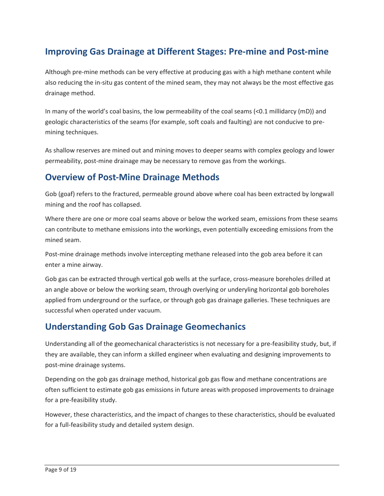# **Improving Gas Drainage at Different Stages: Pre-mine and Post-mine**

Although pre-mine methods can be very effective at producing gas with a high methane content while also reducing the in-situ gas content of the mined seam, they may not always be the most effective gas drainage method.

 In many of the world's coal basins, the low permeability of the coal seams (<0.1 millidarcy (mD)) and geologic characteristics of the seams (for example, soft coals and faulting) are not conducive to premining techniques.

 As shallow reserves are mined out and mining moves to deeper seams with complex geology and lower permeability, post-mine drainage may be necessary to remove gas from the workings.

## **Overview of Post-Mine Drainage Methods**

Gob (goaf) refers to the fractured, permeable ground above where coal has been extracted by longwall mining and the roof has collapsed.

 Where there are one or more coal seams above or below the worked seam, emissions from these seams can contribute to methane emissions into the workings, even potentially exceeding emissions from the mined seam.

Post-mine drainage methods involve intercepting methane released into the gob area before it can enter a mine airway.

 Gob gas can be extracted through vertical gob wells at the surface, cross-measure boreholes drilled at applied from underground or the surface, or through gob gas drainage galleries. These techniques are an angle above or below the working seam, through overlying or underyling horizontal gob boreholes successful when operated under vacuum.

## **Understanding Gob Gas Drainage Geomechanics**

Understanding all of the geomechanical characteristics is not necessary for a pre-feasibility study, but, if they are available, they can inform a skilled engineer when evaluating and designing improvements to post-mine drainage systems.

 often sufficient to estimate gob gas emissions in future areas with proposed improvements to drainage Depending on the gob gas drainage method, historical gob gas flow and methane concentrations are for a pre-feasibility study.

However, these characteristics, and the impact of changes to these characteristics, should be evaluated for a full-feasibility study and detailed system design.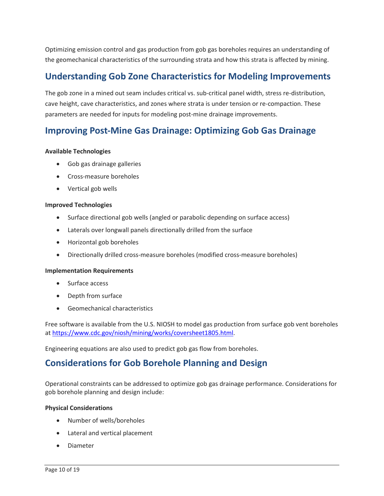Optimizing emission control and gas production from gob gas boreholes requires an understanding of the geomechanical characteristics of the surrounding strata and how this strata is affected by mining.

## **Understanding Gob Zone Characteristics for Modeling Improvements**

 The gob zone in a mined out seam includes critical vs. sub-critical panel width, stress re-distribution, cave height, cave characteristics, and zones where strata is under tension or re-compaction. These parameters are needed for inputs for modeling post-mine drainage improvements.

## **Improving Post-Mine Gas Drainage: Optimizing Gob Gas Drainage**

### **Available Technologies**

- Gob gas drainage galleries
- Cross-measure boreholes
- Vertical gob wells

### **Improved Technologies**

- Surface directional gob wells (angled or parabolic depending on surface access)
- Laterals over longwall panels directionally drilled from the surface
- Horizontal gob boreholes
- Directionally drilled cross-measure boreholes (modified cross-measure boreholes)

### **Implementation Requirements**

- Surface access
- Depth from surface
- Geomechanical characteristics

Free software is available from the U.S. NIOSH to model gas production from surface gob vent boreholes at [https://www.cdc.gov/niosh/mining/works/coversheet1805.html.](https://www.cdc.gov/niosh/mining/works/coversheet1805.html)

Engineering equations are also used to predict gob gas flow from boreholes.

### **Considerations for Gob Borehole Planning and Design**

Operational constraints can be addressed to optimize gob gas drainage performance. Considerations for gob borehole planning and design include:

### **Physical Considerations**

- Number of wells/boreholes
- Lateral and vertical placement
- Diameter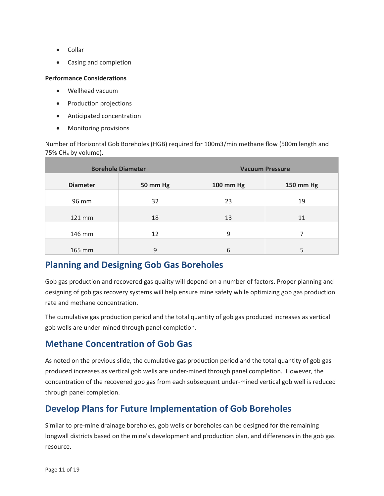- Collar
- Casing and completion

### **Performance Considerations**

- Wellhead vacuum
- Production projections
- Anticipated concentration
- Monitoring provisions

 Number of Horizontal Gob Boreholes (HGB) required for 100m3/min methane flow (500m length and  $75\%$  CH<sub>4</sub> by volume).

| <b>Borehole Diameter</b> |          | <b>Vacuum Pressure</b> |           |
|--------------------------|----------|------------------------|-----------|
| <b>Diameter</b>          | 50 mm Hg | 100 mm Hg              | 150 mm Hg |
| 96 mm                    | 32       | 23                     | 19        |
| $121$ mm                 | 18       | 13                     | 11        |
| 146 mm                   | 12       | 9                      |           |
| 165 mm                   | 9        | 6                      |           |

### **Planning and Designing Gob Gas Boreholes**

rate and methane concentration. Gob gas production and recovered gas quality will depend on a number of factors. Proper planning and designing of gob gas recovery systems will help ensure mine safety while optimizing gob gas production

The cumulative gas production period and the total quantity of gob gas produced increases as vertical gob wells are under-mined through panel completion.

# **Methane Concentration of Gob Gas**

 As noted on the previous slide, the cumulative gas production period and the total quantity of gob gas produced increases as vertical gob wells are under-mined through panel completion. However, the concentration of the recovered gob gas from each subsequent under-mined vertical gob well is reduced through panel completion.

# **Develop Plans for Future Implementation of Gob Boreholes**

 longwall districts based on the mine's development and production plan, and differences in the gob gas Similar to pre-mine drainage boreholes, gob wells or boreholes can be designed for the remaining resource.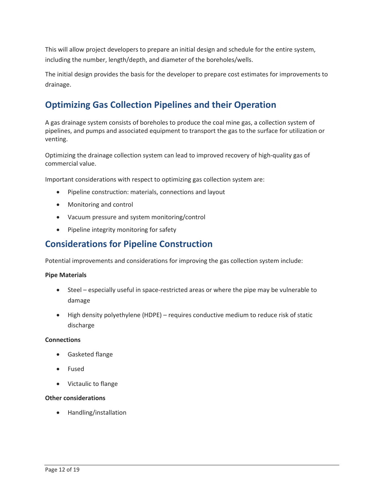including the number, length/depth, and diameter of the boreholes/wells. This will allow project developers to prepare an initial design and schedule for the entire system,

 The initial design provides the basis for the developer to prepare cost estimates for improvements to drainage.

# **Optimizing Gas Collection Pipelines and their Operation**

 pipelines, and pumps and associated equipment to transport the gas to the surface for utilization or A gas drainage system consists of boreholes to produce the coal mine gas, a collection system of venting.

Optimizing the drainage collection system can lead to improved recovery of high-quality gas of commercial value.

Important considerations with respect to optimizing gas collection system are:

- Pipeline construction: materials, connections and layout
- Monitoring and control
- Vacuum pressure and system monitoring/control
- Pipeline integrity monitoring for safety

### **Considerations for Pipeline Construction**

Potential improvements and considerations for improving the gas collection system include:

### **Pipe Materials**

- • Steel especially useful in space-restricted areas or where the pipe may be vulnerable to damage
- • High density polyethylene (HDPE) requires conductive medium to reduce risk of static discharge

### **Connections**

- Gasketed flange
- Fused
- Victaulic to flange

### **Other considerations**

• Handling/installation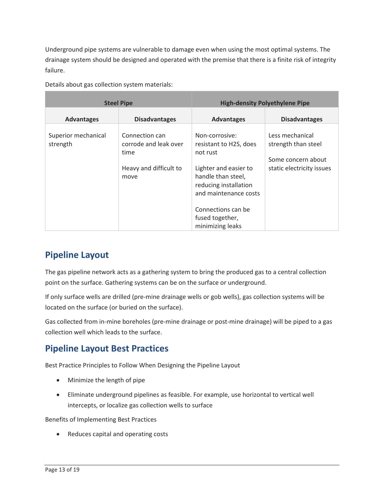Underground pipe systems are vulnerable to damage even when using the most optimal systems. The drainage system should be designed and operated with the premise that there is a finite risk of integrity failure.

| <b>Steel Pipe</b>               |                                                                                   | <b>High-density Polyethylene Pipe</b>                                                                                                                                                                              |                                                                                           |
|---------------------------------|-----------------------------------------------------------------------------------|--------------------------------------------------------------------------------------------------------------------------------------------------------------------------------------------------------------------|-------------------------------------------------------------------------------------------|
| <b>Advantages</b>               | <b>Disadvantages</b>                                                              | <b>Advantages</b>                                                                                                                                                                                                  | <b>Disadvantages</b>                                                                      |
| Superior mechanical<br>strength | Connection can<br>corrode and leak over<br>time<br>Heavy and difficult to<br>move | Non-corrosive:<br>resistant to H2S, does<br>not rust<br>Lighter and easier to<br>handle than steel,<br>reducing installation<br>and maintenance costs<br>Connections can be<br>fused together,<br>minimizing leaks | Less mechanical<br>strength than steel<br>Some concern about<br>static electricity issues |

Details about gas collection system materials:

# **Pipeline Layout**

 point on the surface. Gathering systems can be on the surface or underground. The gas pipeline network acts as a gathering system to bring the produced gas to a central collection

 If only surface wells are drilled (pre-mine drainage wells or gob wells), gas collection systems will be located on the surface (or buried on the surface).

 collection well which leads to the surface. Gas collected from in-mine boreholes (pre-mine drainage or post-mine drainage) will be piped to a gas

# **Pipeline Layout Best Practices**

Best Practice Principles to Follow When Designing the Pipeline Layout

- Minimize the length of pipe
- intercepts, or localize gas collection wells to surface • Eliminate underground pipelines as feasible. For example, use horizontal to vertical well

Benefits of Implementing Best Practices

• Reduces capital and operating costs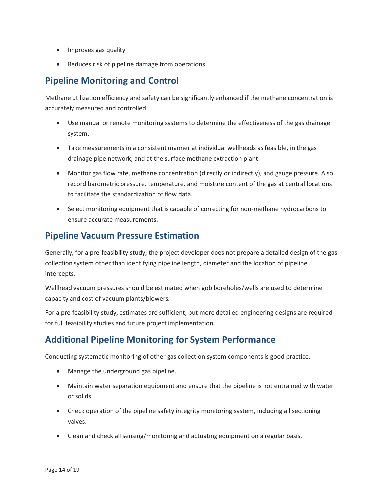- Improves gas quality
- Reduces risk of pipeline damage from operations

### **Pipeline Monitoring and Control**

Methane utilization efficiency and safety can be significantly enhanced if the methane concentration is accurately measured and controlled.

- Use manual or remote monitoring systems to determine the effectiveness of the gas drainage system.
- • Take measurements in a consistent manner at individual wellheads as feasible, in the gas drainage pipe network, and at the surface methane extraction plant.
- Monitor gas flow rate, methane concentration (directly or indirectly), and gauge pressure. Also record barometric pressure, temperature, and moisture content of the gas at central locations to facilitate the standardization of flow data.
- Select monitoring equipment that is capable of correcting for non-methane hydrocarbons to ensure accurate measurements.

# **Pipeline Vacuum Pressure Estimation**

 Generally, for a pre-feasibility study, the project developer does not prepare a detailed design of the gas collection system other than identifying pipeline length, diameter and the location of pipeline intercepts.

intercepts.<br>Wellhead vacuum pressures should be estimated when gob boreholes/wells are used to determine capacity and cost of vacuum plants/blowers.

For a pre-feasibility study, estimates are sufficient, but more detailed engineering designs are required for full feasibility studies and future project implementation.

# **Additional Pipeline Monitoring for System Performance**

Conducting systematic monitoring of other gas collection system components is good practice.

- Manage the underground gas pipeline.
- • Maintain water separation equipment and ensure that the pipeline is not entrained with water or solids.
- Check operation of the pipeline safety integrity monitoring system, including all sectioning valves.
- Clean and check all sensing/monitoring and actuating equipment on a regular basis.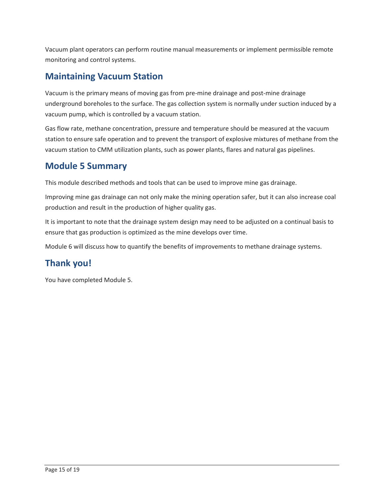Vacuum plant operators can perform routine manual measurements or implement permissible remote monitoring and control systems.

# **Maintaining Vacuum Station**

 underground boreholes to the surface. The gas collection system is normally under suction induced by a vacuum pump, which is controlled by a vacuum station. Vacuum is the primary means of moving gas from pre-mine drainage and post-mine drainage

 Gas flow rate, methane concentration, pressure and temperature should be measured at the vacuum station to ensure safe operation and to prevent the transport of explosive mixtures of methane from the vacuum station to CMM utilization plants, such as power plants, flares and natural gas pipelines.

# **Module 5 Summary**

This module described methods and tools that can be used to improve mine gas drainage.

 Improving mine gas drainage can not only make the mining operation safer, but it can also increase coal production and result in the production of higher quality gas.

It is important to note that the drainage system design may need to be adjusted on a continual basis to ensure that gas production is optimized as the mine develops over time.

Module 6 will discuss how to quantify the benefits of improvements to methane drainage systems.

# **Thank you!**

You have completed Module 5.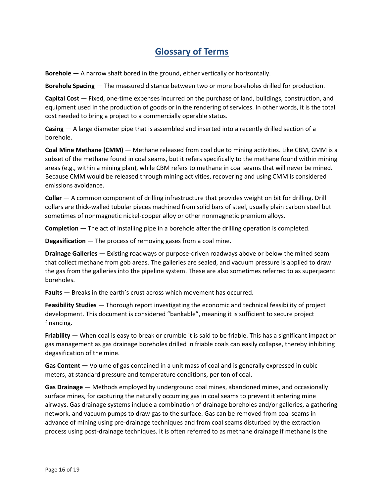# **Glossary of Terms**

**Borehole** — A narrow shaft bored in the ground, either vertically or horizontally.

**Borehole Spacing** — The measured distance between two or more boreholes drilled for production.

 **Capital Cost** — Fixed, one-time expenses incurred on the purchase of land, buildings, construction, and equipment used in the production of goods or in the rendering of services. In other words, it is the total cost needed to bring a project to a commercially operable status.

 **Casing** — A large diameter pipe that is assembled and inserted into a recently drilled section of a borehole.

 **Coal Mine Methane (CMM)** — Methane released from coal due to mining activities. Like CBM, CMM is a subset of the methane found in coal seams, but it refers specifically to the methane found within mining areas (e.g., within a mining plan), while CBM refers to methane in coal seams that will never be mined. Because CMM would be released through mining activities, recovering and using CMM is considered emissions avoidance.

 **Collar** — A common component of drilling infrastructure that provides weight on bit for drilling. Drill collars are thick-walled tubular pieces machined from solid bars of steel, usually plain carbon steel but sometimes of nonmagnetic nickel-copper alloy or other nonmagnetic premium alloys.

**Completion** — The act of installing pipe in a borehole after the drilling operation is completed.

**Degasification —** The process of removing gases from a coal mine.

 **Drainage Galleries** — Existing roadways or purpose-driven roadways above or below the mined seam that collect methane from gob areas. The galleries are sealed, and vacuum pressure is applied to draw the gas from the galleries into the pipeline system. These are also sometimes referred to as superjacent boreholes.

**Faults** — Breaks in the earth's crust across which movement has occurred.

 **Feasibility Studies** — Thorough report investigating the economic and technical feasibility of project development. This document is considered "bankable", meaning it is sufficient to secure project financing.

 **Friability** — When coal is easy to break or crumble it is said to be friable. This has a significant impact on gas management as gas drainage boreholes drilled in friable coals can easily collapse, thereby inhibiting degasification of the mine.

**Gas Content —** Volume of gas contained in a unit mass of coal and is generally expressed in cubic meters, at standard pressure and temperature conditions, per ton of coal.

 **Gas Drainage** — Methods employed by underground coal mines, abandoned mines, and occasionally advance of mining using pre-drainage techniques and from coal seams disturbed by the extraction surface mines, for capturing the naturally occurring gas in coal seams to prevent it entering mine airways. Gas drainage systems include a combination of drainage boreholes and/or galleries, a gathering network, and vacuum pumps to draw gas to the surface. Gas can be removed from coal seams in process using post-drainage techniques. It is often referred to as methane drainage if methane is the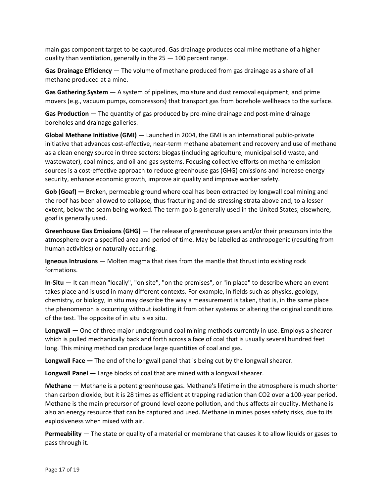main gas component target to be captured. Gas drainage produces coal mine methane of a higher quality than ventilation, generally in the 25 — 100 percent range.

 **Gas Drainage Efficiency** — The volume of methane produced from gas drainage as a share of all methane produced at a mine.

 **Gas Gathering System** — A system of pipelines, moisture and dust removal equipment, and prime  movers (e.g., vacuum pumps, compressors) that transport gas from borehole wellheads to the surface.

 **Gas Production** — The quantity of gas produced by pre-mine drainage and post-mine drainage boreholes and drainage galleries.

 **Global Methane Initiative (GMI) —** Launched in 2004, the GMI is an international public-private initiative that advances cost-effective, near-term methane abatement and recovery and use of methane wastewater), coal mines, and oil and gas systems. Focusing collective efforts on methane emission sources is a cost-effective approach to reduce greenhouse gas (GHG) emissions and increase energy as a clean energy source in three sectors: biogas (including agriculture, municipal solid waste, and security, enhance economic growth, improve air quality and improve worker safety.

**Gob (Goaf) —** Broken, permeable ground where coal has been extracted by longwall coal mining and the roof has been allowed to collapse, thus fracturing and de-stressing strata above and, to a lesser extent, below the seam being worked. The term gob is generally used in the United States; elsewhere, goaf is generally used.

 **Greenhouse Gas Emissions (GHG)** — The release of greenhouse gases and/or their precursors into the atmosphere over a specified area and period of time. May be labelled as anthropogenic (resulting from human activities) or naturally occurring.

 **Igneous Intrusions** — Molten magma that rises from the mantle that thrust into existing rock formations.

 **In-Situ** — It can mean "locally", "on site", "on the premises", or "in place" to describe where an event takes place and is used in many different contexts. For example, in fields such as physics, geology, chemistry, or biology, in situ may describe the way a measurement is taken, that is, in the same place the phenomenon is occurring without isolating it from other systems or altering the original conditions of the test. The opposite of in situ is ex situ.

 **Longwall —** One of three major underground coal mining methods currently in use. Employs a shearer long. This mining method can produce large quantities of coal and gas. which is pulled mechanically back and forth across a face of coal that is usually several hundred feet

**Longwall Face —** The end of the longwall panel that is being cut by the longwall shearer.

**Longwall Panel —** Large blocks of coal that are mined with a longwall shearer.

 **Methane** — Methane is a potent greenhouse gas. Methane's lifetime in the atmosphere is much shorter Methane is the main precursor of ground level ozone pollution, and thus affects air quality. Methane is also an energy resource that can be captured and used. Methane in mines poses safety risks, due to its than carbon dioxide, but it is 28 times as efficient at trapping radiation than CO2 over a 100-year period. explosiveness when mixed with air.

 **Permeability** — The state or quality of a material or membrane that causes it to allow liquids or gases to pass through it.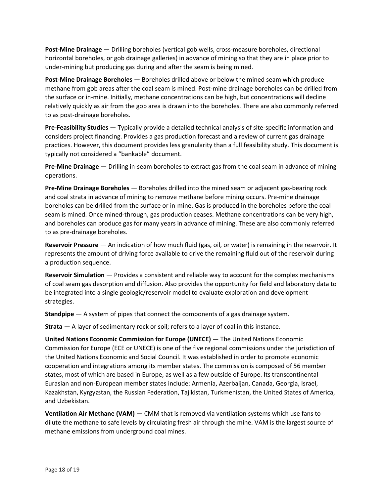under-mining but producing gas during and after the seam is being mined. **Post-Mine Drainage** — Drilling boreholes (vertical gob wells, cross-measure boreholes, directional horizontal boreholes, or gob drainage galleries) in advance of mining so that they are in place prior to

 **Post-Mine Drainage Boreholes** — Boreholes drilled above or below the mined seam which produce the surface or in-mine. Initially, methane concentrations can be high, but concentrations will decline methane from gob areas after the coal seam is mined. Post-mine drainage boreholes can be drilled from relatively quickly as air from the gob area is drawn into the boreholes. There are also commonly referred to as post-drainage boreholes.

 **Pre-Feasibility Studies** — Typically provide a detailed technical analysis of site-specific information and considers project financing. Provides a gas production forecast and a review of current gas drainage practices. However, this document provides less granularity than a full feasibility study. This document is typically not considered a "bankable" document.

 **Pre-Mine Drainage** — Drilling in-seam boreholes to extract gas from the coal seam in advance of mining operations.

 **Pre-Mine Drainage Boreholes** — Boreholes drilled into the mined seam or adjacent gas-bearing rock seam is mined. Once mined-through, gas production ceases. Methane concentrations can be very high, and coal strata in advance of mining to remove methane before mining occurs. Pre-mine drainage boreholes can be drilled from the surface or in-mine. Gas is produced in the boreholes before the coal and boreholes can produce gas for many years in advance of mining. These are also commonly referred to as pre-drainage boreholes.

 **Reservoir Pressure** — An indication of how much fluid (gas, oil, or water) is remaining in the reservoir. It represents the amount of driving force available to drive the remaining fluid out of the reservoir during a production sequence.

 **Reservoir Simulation** — Provides a consistent and reliable way to account for the complex mechanisms of coal seam gas desorption and diffusion. Also provides the opportunity for field and laboratory data to be integrated into a single geologic/reservoir model to evaluate exploration and development strategies.

**Standpipe** — A system of pipes that connect the components of a gas drainage system.

**Strata** — A layer of sedimentary rock or soil; refers to a layer of coal in this instance.

 **United Nations Economic Commission for Europe (UNECE)** — The United Nations Economic Commission for Europe (ECE or UNECE) is one of the five regional commissions under the jurisdiction of states, most of which are based in Europe, as well as a few outside of Europe. Its transcontinental Kazakhstan, Kyrgyzstan, the Russian Federation, Tajikistan, Turkmenistan, the United States of America, the United Nations Economic and Social Council. It was established in order to promote economic cooperation and integrations among its member states. The commission is composed of 56 member Eurasian and non-European member states include: Armenia, Azerbaijan, Canada, Georgia, Israel, and Uzbekistan.

 **Ventilation Air Methane (VAM)** — CMM that is removed via ventilation systems which use fans to dilute the methane to safe levels by circulating fresh air through the mine. VAM is the largest source of methane emissions from underground coal mines.